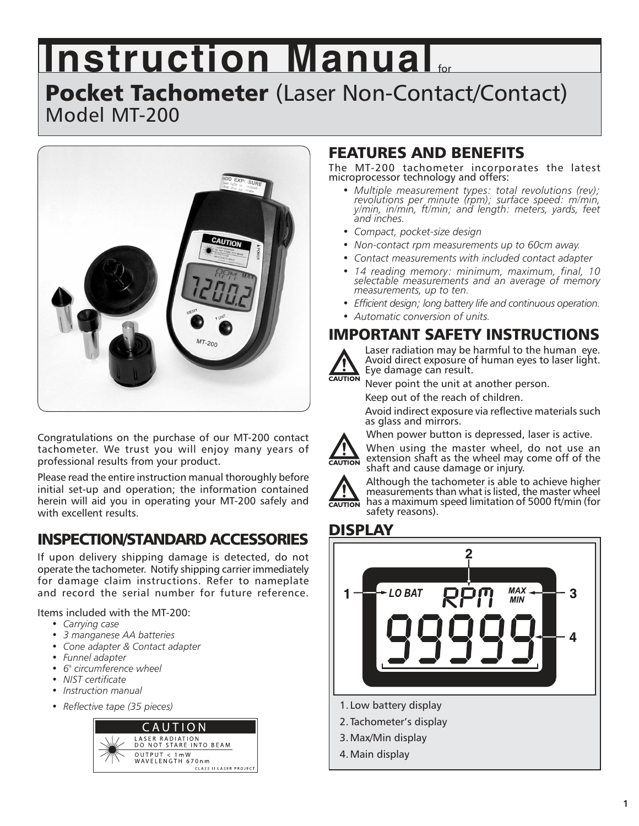# **Instruction Manual for**

## Pocket Tachometer (Laser Non-Contact/Contact) Model MT-200



Congratulations on the purchase of our MT-200 contact tachometer. We trust you will enjoy many years of professional results from your product.

Please read the entire instruction manual thoroughly before initial set-up and operation; the information contained herein will aid you in operating your MT-200 safely and with excellent results.

## INSPECTION/STANDARD ACCESSORIES

If upon delivery shipping damage is detected, do not operate the tachometer. Notify shipping carrier immediately for damage claim instructions. Refer to nameplate and record the serial number for future reference.

Items included with the MT-200:

- *Carrying case*
- *3 manganese AA batteries*
- *Cone adapter & Contact adapter*
- *Funnel adapter*
- *6" circumference wheel*
- *NIST certificate*
- *Instruction manual*
- *Reflective tape (35 pieces)*



## FEATURES AND BENEFITS

The MT-200 tachometer incorporates the latest microprocessor technology and offers:

- *Multiple measurement types: total revolutions (rev); revolutions per minute (rpm); surface speed: m/min, y/min, in/min, ft/min; and length: meters, yards, feet and inches.*
- *Compact, pocket-size design*
- *Non-contact rpm measurements up to 60cm away.*
- *Contact measurements with included contact adapter*
- *14 reading memory: minimum, maximum, final, 10 selectable measurements and an average of memory measurements, up to ten.*
- *Efficient design; long battery life and continuous operation.*
- *Automatic conversion of units.*

## IMPORTANT SAFETY INSTRUCTIONS



Laser radiation may be harmful to the human eye. Avoid direct exposure of human eyes to laser light. Eye damage can result.

Never point the unit at another person.

Keep out of the reach of children.

Avoid indirect exposure via reflective materials such as glass and mirrors.

When power button is depressed, laser is active.



When using the master wheel, do not use an extension shaft as the wheel may come off of the shaft and cause damage or injury.



Although the tachometer is able to achieve higher measurements than what is listed, the master wheel  $\overline{\text{caurion}}$  has a maximum speed limitation of 5000 ft/min (for safety reasons).

### DISPLAY



- 3. Max/Min display
- 4. Main display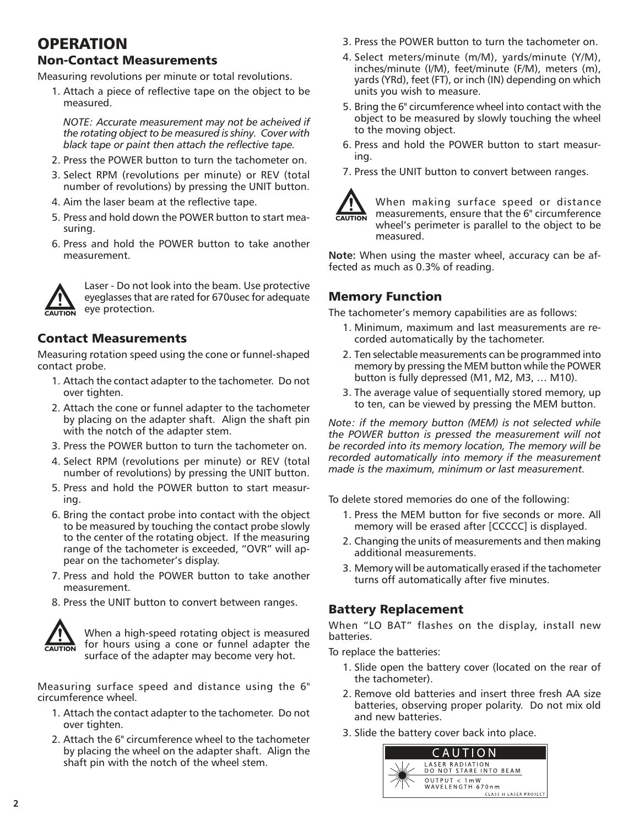## **OPERATION**

#### Non-Contact Measurements

Measuring revolutions per minute or total revolutions.

1. Attach a piece of reflective tape on the object to be measured.

*NOTE: Accurate measurement may not be acheived if the rotating object to be measured is shiny. Cover with black tape or paint then attach the reflective tape.*

- 2. Press the POWER button to turn the tachometer on.
- 3. Select RPM (revolutions per minute) or REV (total number of revolutions) by pressing the UNIT button.
- 4. Aim the laser beam at the reflective tape.
- 5. Press and hold down the POWER button to start measuring.
- 6. Press and hold the POWER button to take another measurement.



Laser - Do not look into the beam. Use protective eyeglasses that are rated for 670usec for adequate eye protection.

#### Contact Measurements

Measuring rotation speed using the cone or funnel-shaped contact probe.

- 1. Attach the contact adapter to the tachometer. Do not over tighten.
- 2. Attach the cone or funnel adapter to the tachometer by placing on the adapter shaft. Align the shaft pin with the notch of the adapter stem.
- 3. Press the POWER button to turn the tachometer on.
- 4. Select RPM (revolutions per minute) or REV (total number of revolutions) by pressing the UNIT button.
- 5. Press and hold the POWER button to start measuring.
- 6. Bring the contact probe into contact with the object to be measured by touching the contact probe slowly to the center of the rotating object. If the measuring range of the tachometer is exceeded, "OVR" will appear on the tachometer's display.
- 7. Press and hold the POWER button to take another measurement.
- 8. Press the UNIT button to convert between ranges.



When a high-speed rotating object is measured for hours using a cone or funnel adapter the surface of the adapter may become very hot.

Measuring surface speed and distance using the 6" circumference wheel.

- 1. Attach the contact adapter to the tachometer. Do not over tighten.
- 2. Attach the 6" circumference wheel to the tachometer by placing the wheel on the adapter shaft. Align the shaft pin with the notch of the wheel stem.
- 3. Press the POWER button to turn the tachometer on.
- 4. Select meters/minute (m/M), yards/minute (Y/M), inches/minute (I/M), feet/minute (F/M), meters (m), yards (YRd), feet (FT), or inch (IN) depending on which units you wish to measure.
- 5. Bring the 6" circumference wheel into contact with the object to be measured by slowly touching the wheel to the moving object.
- 6. Press and hold the POWER button to start measuring.
- 7. Press the UNIT button to convert between ranges.



When making surface speed or distance measurements, ensure that the 6" circumference wheel's perimeter is parallel to the object to be measured.

**Note:** When using the master wheel, accuracy can be affected as much as 0.3% of reading.

#### Memory Function

The tachometer's memory capabilities are as follows:

- 1. Minimum, maximum and last measurements are recorded automatically by the tachometer.
- 2. Ten selectable measurements can be programmed into memory by pressing the MEM button while the POWER button is fully depressed (M1, M2, M3, … M10).
- 3. The average value of sequentially stored memory, up to ten, can be viewed by pressing the MEM button.

*Note: if the memory button (MEM) is not selected while the POWER button is pressed the measurement will not be recorded into its memory location, The memory will be recorded automatically into memory if the measurement made is the maximum, minimum or last measurement.*

To delete stored memories do one of the following:

- 1. Press the MEM button for five seconds or more. All memory will be erased after [CCCCC] is displayed.
- 2. Changing the units of measurements and then making additional measurements.
- 3. Memory will be automatically erased if the tachometer turns off automatically after five minutes.

#### Battery Replacement

When "LO BAT" flashes on the display, install new batteries.

To replace the batteries:

- 1. Slide open the battery cover (located on the rear of the tachometer).
- 2. Remove old batteries and insert three fresh AA size batteries, observing proper polarity. Do not mix old and new batteries.
- 3. Slide the battery cover back into place.

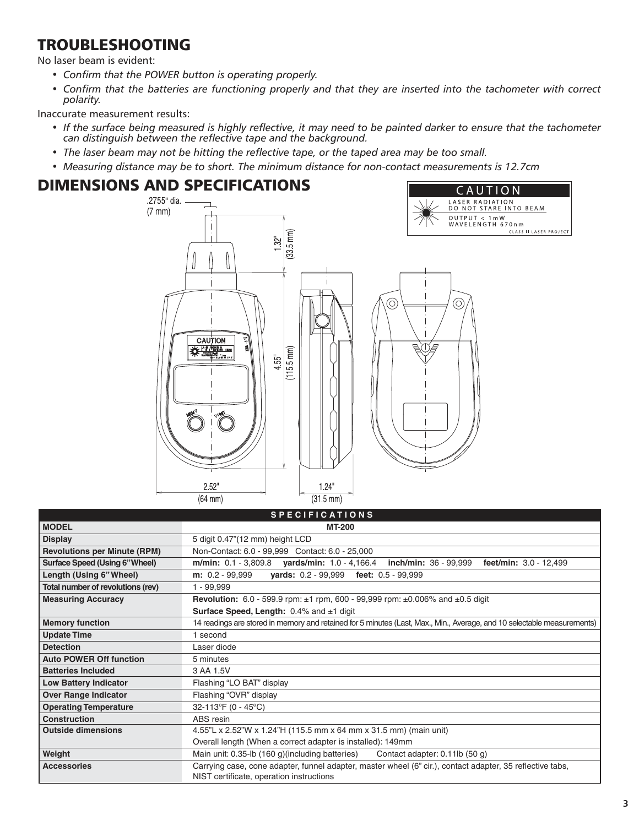## TROUBLESHOOTING

No laser beam is evident:

- *Confirm that the POWER button is operating properly.*
- *Confirm that the batteries are functioning properly and that they are inserted into the tachometer with correct polarity.*

Inaccurate measurement results:

- *If the surface being measured is highly reflective, it may need to be painted darker to ensure that the tachometer can distinguish between the reflective tape and the background.*
- *The laser beam may not be hitting the reflective tape, or the taped area may be too small.*
- *Measuring distance may be to short. The minimum distance for non-contact measurements is 12.7cm*

## DIMENSIONS AND SPECIFICATIONS



|                                     | 5 F E U I F I U A I I U N 5                                                                                             |
|-------------------------------------|-------------------------------------------------------------------------------------------------------------------------|
| <b>MODEL</b>                        | <b>MT-200</b>                                                                                                           |
| <b>Display</b>                      | 5 digit 0.47"(12 mm) height LCD                                                                                         |
| <b>Revolutions per Minute (RPM)</b> | Non-Contact: 6.0 - 99.999 Contact: 6.0 - 25,000                                                                         |
| Surface Speed (Using 6"Wheel)       | m/min: $0.1 - 3,809.8$ yards/min: $1.0 - 4,166.4$ inch/min: $36 - 99,999$<br>feet/min: $3.0 - 12,499$                   |
| Length (Using 6" Wheel)             | <b>yards:</b> 0.2 - 99,999 feet: 0.5 - 99,999<br>$m: 0.2 - 99,999$                                                      |
| Total number of revolutions (rev)   | $1 - 99,999$                                                                                                            |
| <b>Measuring Accuracy</b>           | <b>Revolution:</b> 6.0 - 599.9 rpm: $\pm$ 1 rpm, 600 - 99,999 rpm: $\pm$ 0.006% and $\pm$ 0.5 digit                     |
|                                     | <b>Surface Speed, Length:</b> $0.4\%$ and $\pm 1$ digit                                                                 |
| <b>Memory function</b>              | 14 readings are stored in memory and retained for 5 minutes (Last, Max., Min., Average, and 10 selectable measurements) |
| <b>Update Time</b>                  | 1 second                                                                                                                |
| <b>Detection</b>                    | Laser diode                                                                                                             |
| <b>Auto POWER Off function</b>      | 5 minutes                                                                                                               |
| <b>Batteries Included</b>           | 3 AA 1.5V                                                                                                               |
| <b>Low Battery Indicator</b>        | Flashing "LO BAT" display                                                                                               |
| <b>Over Range Indicator</b>         | Flashing "OVR" display                                                                                                  |
| <b>Operating Temperature</b>        | 32-113°F (0 - 45°C)                                                                                                     |
| <b>Construction</b>                 | ABS resin                                                                                                               |
| <b>Outside dimensions</b>           | 4.55"L x 2.52"W x 1.24"H (115.5 mm x 64 mm x 31.5 mm) (main unit)                                                       |
|                                     | Overall length (When a correct adapter is installed): 149mm                                                             |
| Weight                              | Main unit: 0.35-lb (160 g)(including batteries)<br>Contact adapter: 0.11lb (50 g)                                       |
| <b>Accessories</b>                  | Carrying case, cone adapter, funnel adapter, master wheel (6" cir.), contact adapter, 35 reflective tabs,               |
|                                     | NIST certificate, operation instructions                                                                                |